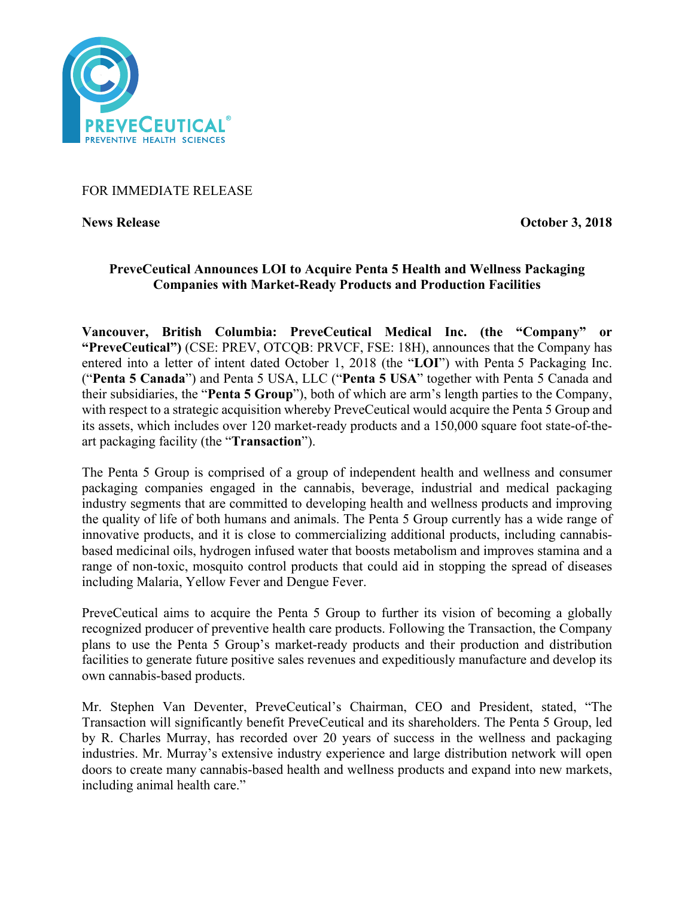

## FOR IMMEDIATE RELEASE

**News Release October 3, 2018** 

# **PreveCeutical Announces LOI to Acquire Penta 5 Health and Wellness Packaging Companies with Market-Ready Products and Production Facilities**

**Vancouver, British Columbia: PreveCeutical Medical Inc. (the "Company" or "PreveCeutical")** (CSE: PREV, OTCQB: PRVCF, FSE: 18H), announces that the Company has entered into a letter of intent dated October 1, 2018 (the "**LOI**") with Penta 5 Packaging Inc. ("**Penta 5 Canada**") and Penta 5 USA, LLC ("**Penta 5 USA**" together with Penta 5 Canada and their subsidiaries, the "**Penta 5 Group**"), both of which are arm's length parties to the Company, with respect to a strategic acquisition whereby PreveCeutical would acquire the Penta 5 Group and its assets, which includes over 120 market-ready products and a 150,000 square foot state-of-theart packaging facility (the "**Transaction**").

The Penta 5 Group is comprised of a group of independent health and wellness and consumer packaging companies engaged in the cannabis, beverage, industrial and medical packaging industry segments that are committed to developing health and wellness products and improving the quality of life of both humans and animals. The Penta 5 Group currently has a wide range of innovative products, and it is close to commercializing additional products, including cannabisbased medicinal oils, hydrogen infused water that boosts metabolism and improves stamina and a range of non-toxic, mosquito control products that could aid in stopping the spread of diseases including Malaria, Yellow Fever and Dengue Fever.

PreveCeutical aims to acquire the Penta 5 Group to further its vision of becoming a globally recognized producer of preventive health care products. Following the Transaction, the Company plans to use the Penta 5 Group's market-ready products and their production and distribution facilities to generate future positive sales revenues and expeditiously manufacture and develop its own cannabis-based products.

Mr. Stephen Van Deventer, PreveCeutical's Chairman, CEO and President, stated, "The Transaction will significantly benefit PreveCeutical and its shareholders. The Penta 5 Group, led by R. Charles Murray, has recorded over 20 years of success in the wellness and packaging industries. Mr. Murray's extensive industry experience and large distribution network will open doors to create many cannabis-based health and wellness products and expand into new markets, including animal health care."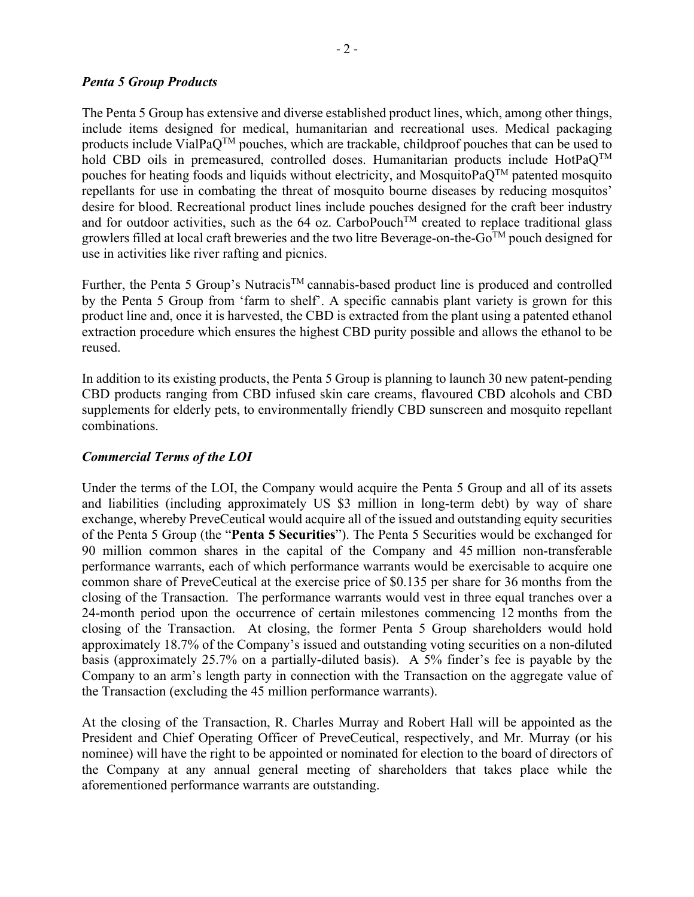#### *Penta 5 Group Products*

The Penta 5 Group has extensive and diverse established product lines, which, among other things, include items designed for medical, humanitarian and recreational uses. Medical packaging products include VialPaQTM pouches, which are trackable, childproof pouches that can be used to hold CBD oils in premeasured, controlled doses. Humanitarian products include HotPa $Q^{TM}$ pouches for heating foods and liquids without electricity, and MosquitoPa $O^{TM}$  patented mosquito repellants for use in combating the threat of mosquito bourne diseases by reducing mosquitos' desire for blood. Recreational product lines include pouches designed for the craft beer industry and for outdoor activities, such as the 64 oz. CarboPouch<sup>TM</sup> created to replace traditional glass growlers filled at local craft breweries and the two litre Beverage-on-the- $Go^{TM}$  pouch designed for use in activities like river rafting and picnics.

Further, the Penta 5 Group's Nutracis<sup>TM</sup> cannabis-based product line is produced and controlled by the Penta 5 Group from 'farm to shelf'. A specific cannabis plant variety is grown for this product line and, once it is harvested, the CBD is extracted from the plant using a patented ethanol extraction procedure which ensures the highest CBD purity possible and allows the ethanol to be reused.

In addition to its existing products, the Penta 5 Group is planning to launch 30 new patent-pending CBD products ranging from CBD infused skin care creams, flavoured CBD alcohols and CBD supplements for elderly pets, to environmentally friendly CBD sunscreen and mosquito repellant combinations.

## *Commercial Terms of the LOI*

Under the terms of the LOI, the Company would acquire the Penta 5 Group and all of its assets and liabilities (including approximately US \$3 million in long-term debt) by way of share exchange, whereby PreveCeutical would acquire all of the issued and outstanding equity securities of the Penta 5 Group (the "**Penta 5 Securities**"). The Penta 5 Securities would be exchanged for 90 million common shares in the capital of the Company and 45 million non-transferable performance warrants, each of which performance warrants would be exercisable to acquire one common share of PreveCeutical at the exercise price of \$0.135 per share for 36 months from the closing of the Transaction. The performance warrants would vest in three equal tranches over a 24-month period upon the occurrence of certain milestones commencing 12 months from the closing of the Transaction. At closing, the former Penta 5 Group shareholders would hold approximately 18.7% of the Company's issued and outstanding voting securities on a non-diluted basis (approximately 25.7% on a partially-diluted basis). A 5% finder's fee is payable by the Company to an arm's length party in connection with the Transaction on the aggregate value of the Transaction (excluding the 45 million performance warrants).

At the closing of the Transaction, R. Charles Murray and Robert Hall will be appointed as the President and Chief Operating Officer of PreveCeutical, respectively, and Mr. Murray (or his nominee) will have the right to be appointed or nominated for election to the board of directors of the Company at any annual general meeting of shareholders that takes place while the aforementioned performance warrants are outstanding.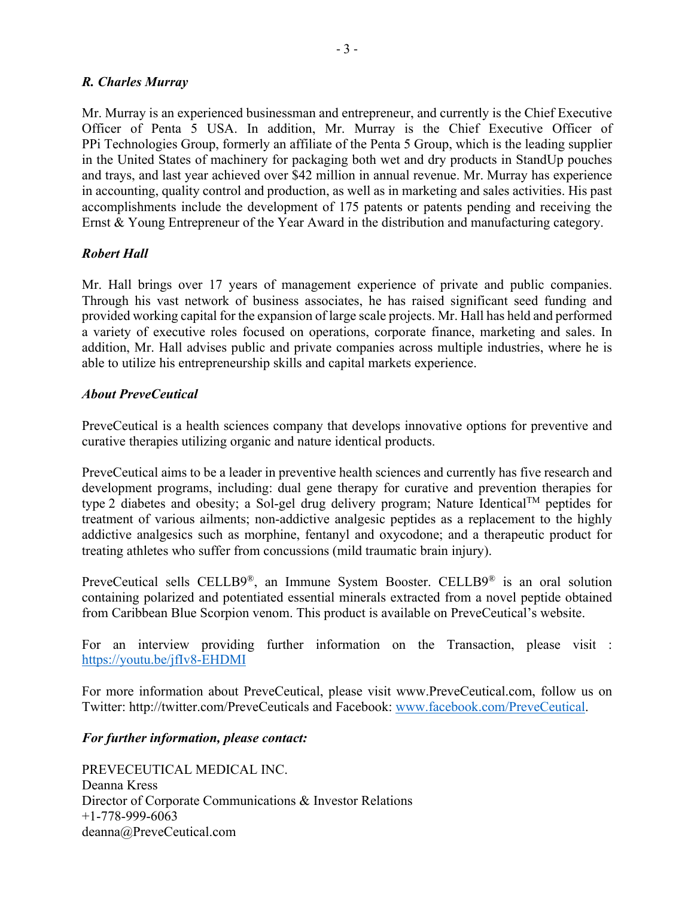## *R. Charles Murray*

Mr. Murray is an experienced businessman and entrepreneur, and currently is the Chief Executive Officer of Penta 5 USA. In addition, Mr. Murray is the Chief Executive Officer of PPi Technologies Group, formerly an affiliate of the Penta 5 Group, which is the leading supplier in the United States of machinery for packaging both wet and dry products in StandUp pouches and trays, and last year achieved over \$42 million in annual revenue. Mr. Murray has experience in accounting, quality control and production, as well as in marketing and sales activities. His past accomplishments include the development of 175 patents or patents pending and receiving the Ernst & Young Entrepreneur of the Year Award in the distribution and manufacturing category.

## *Robert Hall*

Mr. Hall brings over 17 years of management experience of private and public companies. Through his vast network of business associates, he has raised significant seed funding and provided working capital for the expansion of large scale projects. Mr. Hall has held and performed a variety of executive roles focused on operations, corporate finance, marketing and sales. In addition, Mr. Hall advises public and private companies across multiple industries, where he is able to utilize his entrepreneurship skills and capital markets experience.

## *About PreveCeutical*

PreveCeutical is a health sciences company that develops innovative options for preventive and curative therapies utilizing organic and nature identical products.

PreveCeutical aims to be a leader in preventive health sciences and currently has five research and development programs, including: dual gene therapy for curative and prevention therapies for type 2 diabetes and obesity; a Sol-gel drug delivery program; Nature Identical™ peptides for treatment of various ailments; non-addictive analgesic peptides as a replacement to the highly addictive analgesics such as morphine, fentanyl and oxycodone; and a therapeutic product for treating athletes who suffer from concussions (mild traumatic brain injury).

PreveCeutical sells CELLB9®, an Immune System Booster. CELLB9® is an oral solution containing polarized and potentiated essential minerals extracted from a novel peptide obtained from Caribbean Blue Scorpion venom. This product is available on PreveCeutical's website.

For an interview providing further information on the Transaction, please visit : https://youtu.be/jfIv8-EHDMI

For more information about PreveCeutical, please visit www.PreveCeutical.com, follow us on Twitter: http://twitter.com/PreveCeuticals and Facebook: www.facebook.com/PreveCeutical.

## *For further information, please contact:*

PREVECEUTICAL MEDICAL INC. Deanna Kress Director of Corporate Communications & Investor Relations +1-778-999-6063 deanna@PreveCeutical.com